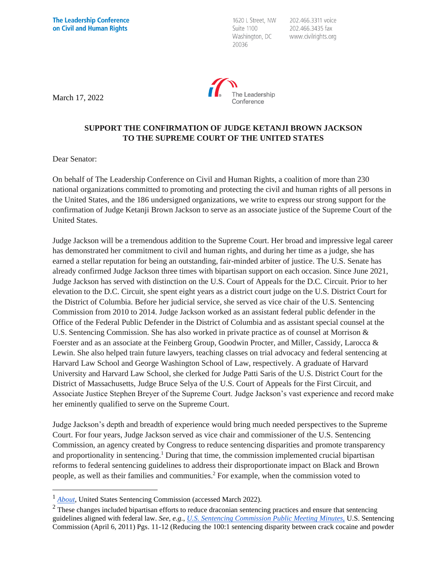1620 L Street, NW Suite 1100 Washington, DC 20036

202.466.3311 voice 202.466.3435 fax www.civilrights.org



March 17, 2022

## **SUPPORT THE CONFIRMATION OF JUDGE KETANJI BROWN JACKSON TO THE SUPREME COURT OF THE UNITED STATES**

Dear Senator:

On behalf of The Leadership Conference on Civil and Human Rights, a coalition of more than 230 national organizations committed to promoting and protecting the civil and human rights of all persons in the United States, and the 186 undersigned organizations, we write to express our strong support for the confirmation of Judge Ketanji Brown Jackson to serve as an associate justice of the Supreme Court of the United States.

Judge Jackson will be a tremendous addition to the Supreme Court. Her broad and impressive legal career has demonstrated her commitment to civil and human rights, and during her time as a judge, she has earned a stellar reputation for being an outstanding, fair-minded arbiter of justice. The U.S. Senate has already confirmed Judge Jackson three times with bipartisan support on each occasion. Since June 2021, Judge Jackson has served with distinction on the U.S. Court of Appeals for the D.C. Circuit. Prior to her elevation to the D.C. Circuit, she spent eight years as a district court judge on the U.S. District Court for the District of Columbia. Before her judicial service, she served as vice chair of the U.S. Sentencing Commission from 2010 to 2014. Judge Jackson worked as an assistant federal public defender in the Office of the Federal Public Defender in the District of Columbia and as assistant special counsel at the U.S. Sentencing Commission. She has also worked in private practice as of counsel at Morrison & Foerster and as an associate at the Feinberg Group, Goodwin Procter, and Miller, Cassidy, Larocca & Lewin. She also helped train future lawyers, teaching classes on trial advocacy and federal sentencing at Harvard Law School and George Washington School of Law, respectively. A graduate of Harvard University and Harvard Law School, she clerked for Judge Patti Saris of the U.S. District Court for the District of Massachusetts, Judge Bruce Selya of the U.S. Court of Appeals for the First Circuit, and Associate Justice Stephen Breyer of the Supreme Court. Judge Jackson's vast experience and record make her eminently qualified to serve on the Supreme Court.

Judge Jackson's depth and breadth of experience would bring much needed perspectives to the Supreme Court. For four years, Judge Jackson served as vice chair and commissioner of the U.S. Sentencing Commission, an agency created by Congress to reduce sentencing disparities and promote transparency and proportionality in sentencing.<sup>1</sup> During that time, the commission implemented crucial bipartisan reforms to federal sentencing guidelines to address their disproportionate impact on Black and Brown people, as well as their families and communities.<sup>2</sup> For example, when the commission voted to

<sup>1</sup> *[About](https://www.ussc.gov/about-page)*, United States Sentencing Commission (accessed March 2022).

 $2$  These changes included bipartisan efforts to reduce draconian sentencing practices and ensure that sentencing guidelines aligned with federal law. *See, e.g.*, *[U.S. Sentencing Commission Public Meeting Minutes,](https://www.ussc.gov/sites/default/files/pdf/amendment-process/public-hearings-and-meetings/20110406/Meeting_Minutes.pdf)* U.S. Sentencing Commission (April 6, 2011) Pgs. 11-12 (Reducing the 100:1 sentencing disparity between crack cocaine and powder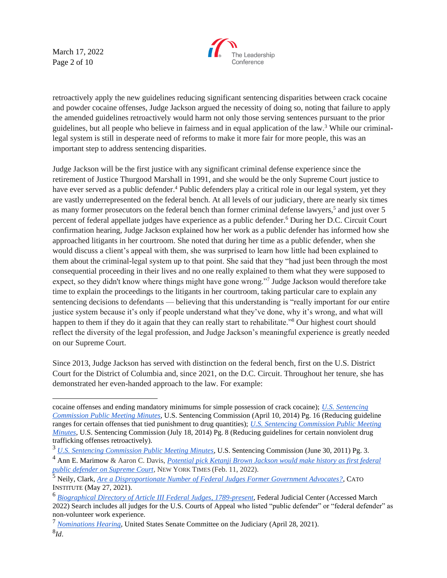March 17, 2022 Page 2 of 10



retroactively apply the new guidelines reducing significant sentencing disparities between crack cocaine and powder cocaine offenses, Judge Jackson argued the necessity of doing so, noting that failure to apply the amended guidelines retroactively would harm not only those serving sentences pursuant to the prior guidelines, but all people who believe in fairness and in equal application of the law.<sup>3</sup> While our criminallegal system is still in desperate need of reforms to make it more fair for more people, this was an important step to address sentencing disparities.

Judge Jackson will be the first justice with any significant criminal defense experience since the retirement of Justice Thurgood Marshall in 1991, and she would be the only Supreme Court justice to have ever served as a public defender.<sup>4</sup> Public defenders play a critical role in our legal system, yet they are vastly underrepresented on the federal bench. At all levels of our judiciary, there are nearly six times as many former prosecutors on the federal bench than former criminal defense lawyers,<sup>5</sup> and just over 5 percent of federal appellate judges have experience as a public defender.<sup>6</sup> During her D.C. Circuit Court confirmation hearing, Judge Jackson explained how her work as a public defender has informed how she approached litigants in her courtroom. She noted that during her time as a public defender, when she would discuss a client's appeal with them, she was surprised to learn how little had been explained to them about the criminal-legal system up to that point. She said that they "had just been through the most consequential proceeding in their lives and no one really explained to them what they were supposed to expect, so they didn't know where things might have gone wrong."7 Judge Jackson would therefore take time to explain the proceedings to the litigants in her courtroom, taking particular care to explain any sentencing decisions to defendants — believing that this understanding is "really important for our entire justice system because it's only if people understand what they've done, why it's wrong, and what will happen to them if they do it again that they can really start to rehabilitate."<sup>8</sup> Our highest court should reflect the diversity of the legal profession, and Judge Jackson's meaningful experience is greatly needed on our Supreme Court.

Since 2013, Judge Jackson has served with distinction on the federal bench, first on the U.S. District Court for the District of Columbia and, since 2021, on the D.C. Circuit. Throughout her tenure, she has demonstrated her even-handed approach to the law. For example:

cocaine offenses and ending mandatory minimums for simple possession of crack cocaine); *[U.S. Sentencing](https://www.ussc.gov/sites/default/files/pdf/amendment-process/public-hearings-and-meetings/20140410/meeting-minutes.pdf)  [Commission Public Meeting Minutes](https://www.ussc.gov/sites/default/files/pdf/amendment-process/public-hearings-and-meetings/20140410/meeting-minutes.pdf)*, U.S. Sentencing Commission (April 10, 2014) Pg. 16 (Reducing guideline ranges for certain offenses that tied punishment to drug quantities); *[U.S. Sentencing Commission Public Meeting](https://www.ussc.gov/sites/default/files/pdf/amendment-process/public-hearings-and-meetings/20140718/meeting-minutes.pdf)  [Minutes](https://www.ussc.gov/sites/default/files/pdf/amendment-process/public-hearings-and-meetings/20140718/meeting-minutes.pdf)*, U.S. Sentencing Commission (July 18, 2014) Pg. 8 (Reducing guidelines for certain nonviolent drug trafficking offenses retroactively).

<sup>3</sup> *[U.S. Sentencing Commission Public Meeting Minutes](https://www.ussc.gov/sites/default/files/pdf/amendment-process/public-hearings-and-meetings/20110630/Meeting_Minutes.pdf)*, U.S. Sentencing Commission (June 30, 2011) Pg. 3.

<sup>4</sup> Ann E. Marimow & Aaron C. Davis, *[Potential pick Ketanji Brown Jackson would make history as first federal](https://www.washingtonpost.com/politics/2022/02/11/ketanji-brown-jackson-supreme-court-defender/)  [public defender on Supreme Court,](https://www.washingtonpost.com/politics/2022/02/11/ketanji-brown-jackson-supreme-court-defender/)* NEW YORK TIMES (Feb. 11, 2022).

<sup>5</sup> Neily, Clark, *[Are a Disproportionate Number of Federal Judges Former Government Advocates?](https://www.cato.org/study/are-disproportionate-number-federal-judges-former-government-advocates#procedure-findings)*, CATO INSTITUTE (May 27, 2021).

<sup>6</sup> *[Biographical Directory of Article III Federal Judges, 1789-present](https://www.fjc.gov/history/judges/search/advanced-search)*, Federal Judicial Center (Accessed March 2022) Search includes all judges for the U.S. Courts of Appeal who listed "public defender" or "federal defender" as non-volunteer work experience.

<sup>7</sup> *[Nominations Hearing](https://www.judiciary.senate.gov/meetings/04/21/2021/nominations)*, United States Senate Committee on the Judiciary (April 28, 2021).

<sup>8</sup> *Id*.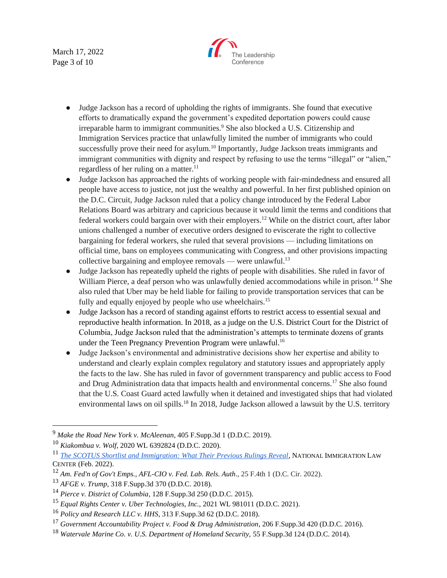March 17, 2022 Page 3 of 10



- Judge Jackson has a record of upholding the rights of immigrants. She found that executive efforts to dramatically expand the government's expedited deportation powers could cause irreparable harm to immigrant communities.<sup>9</sup> She also blocked a U.S. Citizenship and Immigration Services practice that unlawfully limited the number of immigrants who could successfully prove their need for asylum.<sup>10</sup> Importantly, Judge Jackson treats immigrants and immigrant communities with dignity and respect by refusing to use the terms "illegal" or "alien," regardless of her ruling on a matter.<sup>11</sup>
- Judge Jackson has approached the rights of working people with fair-mindedness and ensured all people have access to justice, not just the wealthy and powerful. In her first published opinion on the D.C. Circuit, Judge Jackson ruled that a policy change introduced by the Federal Labor Relations Board was arbitrary and capricious because it would limit the terms and conditions that federal workers could bargain over with their employers.<sup>12</sup> While on the district court, after labor unions challenged a number of executive orders designed to eviscerate the right to collective bargaining for federal workers, she ruled that several provisions — including limitations on official time, bans on employees communicating with Congress, and other provisions impacting collective bargaining and employee removals — were unlawful. $13$
- Judge Jackson has repeatedly upheld the rights of people with disabilities. She ruled in favor of William Pierce, a deaf person who was unlawfully denied accommodations while in prison.<sup>14</sup> She also ruled that Uber may be held liable for failing to provide transportation services that can be fully and equally enjoyed by people who use wheelchairs.<sup>15</sup>
- Judge Jackson has a record of standing against efforts to restrict access to essential sexual and reproductive health information. In 2018, as a judge on the U.S. District Court for the District of Columbia, Judge Jackson ruled that the administration's attempts to terminate dozens of grants under the Teen Pregnancy Prevention Program were unlawful.<sup>16</sup>
- Judge Jackson's environmental and administrative decisions show her expertise and ability to understand and clearly explain complex regulatory and statutory issues and appropriately apply the facts to the law. She has ruled in favor of government transparency and public access to Food and Drug Administration data that impacts health and environmental concerns.<sup>17</sup> She also found that the U.S. Coast Guard acted lawfully when it detained and investigated ships that had violated environmental laws on oil spills.<sup>18</sup> In 2018, Judge Jackson allowed a lawsuit by the U.S. territory

<sup>9</sup> *Make the Road New York v. McAleenan*, 405 F.Supp.3d 1 (D.D.C. 2019).

<sup>10</sup> *Kiakombua v. Wolf*, 2020 WL 6392824 (D.D.C. 2020).

<sup>11</sup> *[The SCOTUS Shortlist and Immigration: What Their Previous Rulings Reveal](https://www.nilc.org/wp-content/uploads/2022/02/NILC-Report-SCOTUS-Shortlist-and-Immigration.pdf)*, NATIONAL IMMIGRATION LAW CENTER (Feb. 2022).

<sup>12</sup> *Am. Fed'n of Gov't Emps., AFL-CIO v. Fed. Lab. Rels. Auth*., 25 F.4th 1 (D.C. Cir. 2022).

<sup>13</sup> *AFGE v. Trump*, 318 F.Supp.3d 370 (D.D.C. 2018).

<sup>14</sup> *Pierce v. District of Columbia*, 128 F.Supp.3d 250 (D.D.C. 2015).

<sup>15</sup> *Equal Rights Center v. Uber Technologies, Inc.,* 2021 WL 981011 (D.D.C. 2021).

<sup>16</sup> *Policy and Research LLC v. HHS*, 313 F.Supp.3d 62 (D.D.C. 2018).

<sup>17</sup> *Government Accountability Project v. Food & Drug Administration*, 206 F.Supp.3d 420 (D.D.C. 2016).

<sup>18</sup> *Watervale Marine Co. v. U.S. Department of Homeland Security,* 55 F.Supp.3d 124 (D.D.C. 2014).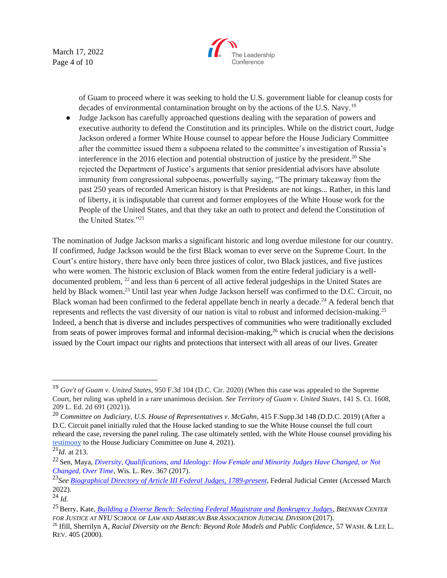March 17, 2022 Page 4 of 10



of Guam to proceed where it was seeking to hold the U.S. government liable for cleanup costs for decades of environmental contamination brought on by the actions of the U.S. Navy.<sup>19</sup>

● Judge Jackson has carefully approached questions dealing with the separation of powers and executive authority to defend the Constitution and its principles. While on the district court, Judge Jackson ordered a former White House counsel to appear before the House Judiciary Committee after the committee issued them a subpoena related to the committee's investigation of Russia's interference in the 2016 election and potential obstruction of justice by the president.<sup>20</sup> She rejected the Department of Justice's arguments that senior presidential advisors have absolute immunity from congressional subpoenas, powerfully saying, "The primary takeaway from the past 250 years of recorded American history is that Presidents are not kings... Rather, in this land of liberty, it is indisputable that current and former employees of the White House work for the People of the United States, and that they take an oath to protect and defend the Constitution of the United States."<sup>21</sup>

The nomination of Judge Jackson marks a significant historic and long overdue milestone for our country. If confirmed, Judge Jackson would be the first Black woman to ever serve on the Supreme Court. In the Court's entire history, there have only been three justices of color, two Black justices, and five justices who were women. The historic exclusion of Black women from the entire federal judiciary is a welldocumented problem, <sup>22</sup> and less than 6 percent of all active federal judgeships in the United States are held by Black women.<sup>23</sup> Until last year when Judge Jackson herself was confirmed to the D.C. Circuit, no Black woman had been confirmed to the federal appellate bench in nearly a decade.<sup>24</sup> A federal bench that represents and reflects the vast diversity of our nation is vital to robust and informed decision-making.<sup>25</sup> Indeed, a bench that is diverse and includes perspectives of communities who were traditionally excluded from seats of power improves formal and informal decision-making,<sup>26</sup> which is crucial when the decisions issued by the Court impact our rights and protections that intersect with all areas of our lives. Greater

<sup>19</sup> *Gov't of Guam v. United States*, 950 F.3d 104 (D.C. Cir. 2020) (When this case was appealed to the Supreme Court, her ruling was upheld in a rare unanimous decision. *See Territory of Guam v. United States*, 141 S. Ct. 1608, 209 L. Ed. 2d 691 (2021)).

<sup>20</sup> *Committee on Judiciary, U.S. House of Representatives v. McGahn*, 415 F.Supp.3d 148 (D.D.C. 2019) (After a D.C. Circuit panel initially ruled that the House lacked standing to sue the White House counsel the full court reheard the case, reversing the panel ruling. The case ultimately settled, with the White House counsel providing his [testimony](https://judiciary.house.gov/uploadedfiles/mcgahn_interview_transcript.pdf) to the House Judiciary Committee on June 4, 2021).

 $\overline{^{21}Id.}$  at 213.

<sup>22</sup> Sen, Maya, *[Diversity, Qualifications, and Ideology: How Female and Minority Judges Have Changed, or Not](https://scholar.harvard.edu/files/msen/files/judicial-diversity.pdf)  [Changed, Over Time](https://scholar.harvard.edu/files/msen/files/judicial-diversity.pdf)*, Wis. L. Rev. 367 (2017).

<sup>23</sup>*See [Biographical Directory of Article III Federal Judges, 1789-present,](https://www.fjc.gov/history/judges/search/advanced-search)* Federal Judicial Center (Accessed March 2022).

<sup>24</sup> *Id.*

<sup>25</sup> Berry, Kate, *[Building a Diverse Bench: Selecting Federal Magistrate and Bankruptcy Judges,](https://www.brennancenter.org/sites/default/files/publications/Building_A_Diverse_Bench_0726.pdf) BRENNAN CENTER FOR JUSTICE AT NYU SCHOOL OF LAW AND AMERICAN BAR ASSOCIATION JUDICIAL DIVISION* (2017).

<sup>26</sup> Ifill, Sherrilyn A, *Racial Diversity on the Bench: Beyond Role Models and Public Confidence*, 57 WASH. & LEE L. REV. 405 (2000).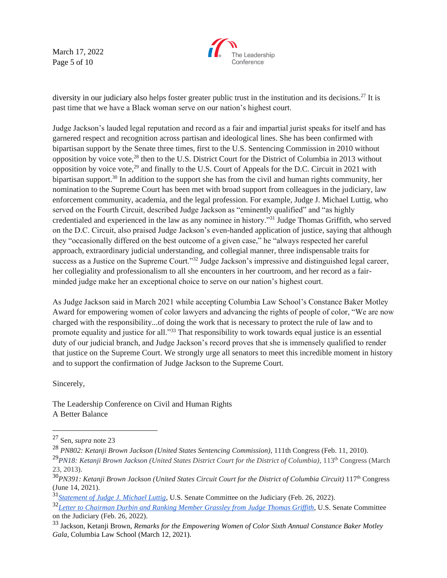March 17, 2022 Page 5 of 10



diversity in our judiciary also helps foster greater public trust in the institution and its decisions.<sup>27</sup> It is past time that we have a Black woman serve on our nation's highest court.

Judge Jackson's lauded legal reputation and record as a fair and impartial jurist speaks for itself and has garnered respect and recognition across partisan and ideological lines. She has been confirmed with bipartisan support by the Senate three times, first to the U.S. Sentencing Commission in 2010 without opposition by voice vote,<sup>28</sup> then to the U.S. District Court for the District of Columbia in 2013 without opposition by voice vote,<sup>29</sup> and finally to the U.S. Court of Appeals for the D.C. Circuit in 2021 with bipartisan support.<sup>30</sup> In addition to the support she has from the civil and human rights community, her nomination to the Supreme Court has been met with broad support from colleagues in the judiciary, law enforcement community, academia, and the legal profession. For example, Judge J. Michael Luttig, who served on the Fourth Circuit, described Judge Jackson as "eminently qualified" and "as highly credentialed and experienced in the law as any nominee in history."<sup>31</sup> Judge Thomas Griffith, who served on the D.C. Circuit, also praised Judge Jackson's even-handed application of justice, saying that although they "occasionally differed on the best outcome of a given case," he "always respected her careful approach, extraordinary judicial understanding, and collegial manner, three indispensable traits for success as a Justice on the Supreme Court."<sup>32</sup> Judge Jackson's impressive and distinguished legal career, her collegiality and professionalism to all she encounters in her courtroom, and her record as a fairminded judge make her an exceptional choice to serve on our nation's highest court.

As Judge Jackson said in March 2021 while accepting Columbia Law School's Constance Baker Motley Award for empowering women of color lawyers and advancing the rights of people of color, "We are now charged with the responsibility...of doing the work that is necessary to protect the rule of law and to promote equality and justice for all.<sup>33</sup> That responsibility to work towards equal justice is an essential duty of our judicial branch, and Judge Jackson's record proves that she is immensely qualified to render that justice on the Supreme Court. We strongly urge all senators to meet this incredible moment in history and to support the confirmation of Judge Jackson to the Supreme Court.

Sincerely,

The Leadership Conference on Civil and Human Rights A Better Balance

<sup>27</sup> Sen, *supra* note 23

<sup>28</sup> *PN802: Ketanji Brown Jackson (United States Sentencing Commission)*, 111th Congress (Feb. 11, 2010).

<sup>&</sup>lt;sup>29</sup>PN18: Ketanji Brown Jackson (United States District Court for the District of Columbia), 113<sup>th</sup> Congress (March 23, 2013).

<sup>30</sup>*PN391: Ketanji Brown Jackson (United States Circuit Court for the District of Columbia Circuit)* 117th Congress (June 14, 2021).

<sup>31</sup>*[Statement of Judge J. Michael Luttig](https://www.documentcloud.org/documents/21279044-luttig-letter-endorsing-judge-jackson-for-supreme-court)*, U.S. Senate Committee on the Judiciary (Feb. 26, 2022).

<sup>32</sup>*[Letter to Chairman Durbin and Ranking Member Grassley from Judge Thomas Griffith](https://www.judiciary.senate.gov/imo/media/doc/2.26.22%20-%20Judge%20Thomas%20Griffith%20Support%20for%20Jackson.pdf)*, U.S. Senate Committee on the Judiciary (Feb. 26, 2022).

<sup>33</sup> Jackson, Ketanji Brown, *Remarks for the Empowering Women of Color Sixth Annual Constance Baker Motley Gala*, Columbia Law School (March 12, 2021).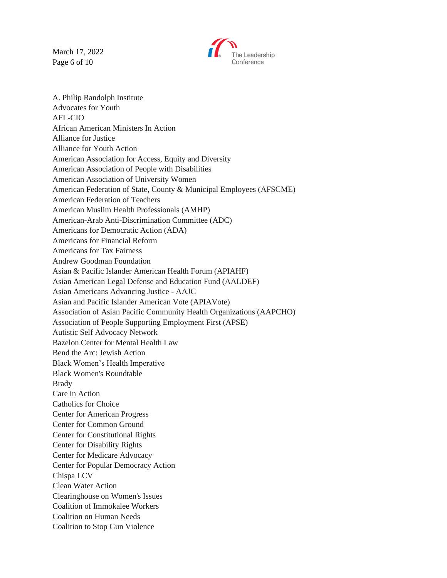March 17, 2022 Page 6 of 10



A. Philip Randolph Institute Advocates for Youth AFL-CIO African American Ministers In Action Alliance for Justice Alliance for Youth Action American Association for Access, Equity and Diversity American Association of People with Disabilities American Association of University Women American Federation of State, County & Municipal Employees (AFSCME) American Federation of Teachers American Muslim Health Professionals (AMHP) American-Arab Anti-Discrimination Committee (ADC) Americans for Democratic Action (ADA) Americans for Financial Reform Americans for Tax Fairness Andrew Goodman Foundation Asian & Pacific Islander American Health Forum (APIAHF) Asian American Legal Defense and Education Fund (AALDEF) Asian Americans Advancing Justice - AAJC Asian and Pacific Islander American Vote (APIAVote) Association of Asian Pacific Community Health Organizations (AAPCHO) Association of People Supporting Employment First (APSE) Autistic Self Advocacy Network Bazelon Center for Mental Health Law Bend the Arc: Jewish Action Black Women's Health Imperative Black Women's Roundtable Brady Care in Action Catholics for Choice Center for American Progress Center for Common Ground Center for Constitutional Rights Center for Disability Rights Center for Medicare Advocacy Center for Popular Democracy Action Chispa LCV Clean Water Action Clearinghouse on Women's Issues Coalition of Immokalee Workers Coalition on Human Needs Coalition to Stop Gun Violence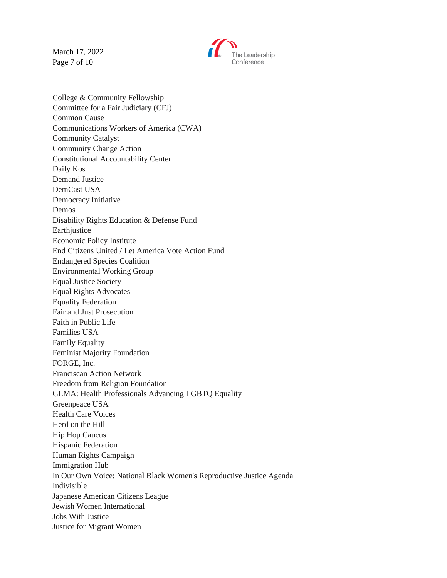March 17, 2022 Page 7 of 10



College & Community Fellowship Committee for a Fair Judiciary (CFJ) Common Cause Communications Workers of America (CWA) Community Catalyst Community Change Action Constitutional Accountability Center Daily Kos Demand Justice DemCast USA Democracy Initiative Demos Disability Rights Education & Defense Fund Earthjustice Economic Policy Institute End Citizens United / Let America Vote Action Fund Endangered Species Coalition Environmental Working Group Equal Justice Society Equal Rights Advocates Equality Federation Fair and Just Prosecution Faith in Public Life Families USA Family Equality Feminist Majority Foundation FORGE, Inc. Franciscan Action Network Freedom from Religion Foundation GLMA: Health Professionals Advancing LGBTQ Equality Greenpeace USA Health Care Voices Herd on the Hill Hip Hop Caucus Hispanic Federation Human Rights Campaign Immigration Hub In Our Own Voice: National Black Women's Reproductive Justice Agenda Indivisible Japanese American Citizens League Jewish Women International Jobs With Justice Justice for Migrant Women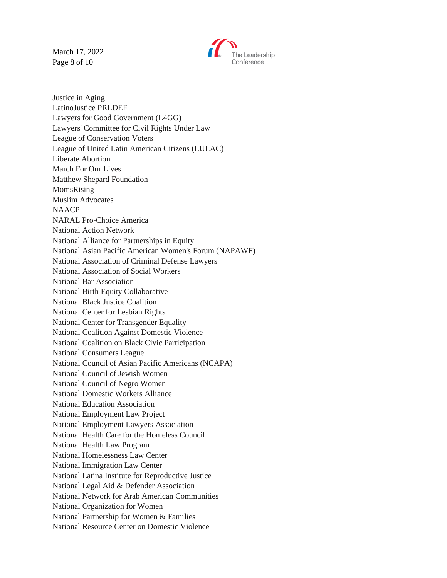March 17, 2022 Page 8 of 10



Justice in Aging LatinoJustice PRLDEF Lawyers for Good Government (L4GG) Lawyers' Committee for Civil Rights Under Law League of Conservation Voters League of United Latin American Citizens (LULAC) Liberate Abortion March For Our Lives Matthew Shepard Foundation MomsRising Muslim Advocates NAACP NARAL Pro-Choice America National Action Network National Alliance for Partnerships in Equity National Asian Pacific American Women's Forum (NAPAWF) National Association of Criminal Defense Lawyers National Association of Social Workers National Bar Association National Birth Equity Collaborative National Black Justice Coalition National Center for Lesbian Rights National Center for Transgender Equality National Coalition Against Domestic Violence National Coalition on Black Civic Participation National Consumers League National Council of Asian Pacific Americans (NCAPA) National Council of Jewish Women National Council of Negro Women National Domestic Workers Alliance National Education Association National Employment Law Project National Employment Lawyers Association National Health Care for the Homeless Council National Health Law Program National Homelessness Law Center National Immigration Law Center National Latina Institute for Reproductive Justice National Legal Aid & Defender Association National Network for Arab American Communities National Organization for Women National Partnership for Women & Families National Resource Center on Domestic Violence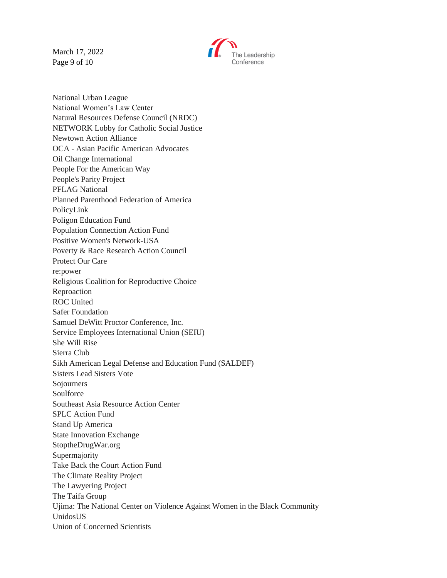March 17, 2022 Page 9 of 10



National Urban League National Women's Law Center Natural Resources Defense Council (NRDC) NETWORK Lobby for Catholic Social Justice Newtown Action Alliance OCA - Asian Pacific American Advocates Oil Change International People For the American Way People's Parity Project PFLAG National Planned Parenthood Federation of America PolicyLink Poligon Education Fund Population Connection Action Fund Positive Women's Network-USA Poverty & Race Research Action Council Protect Our Care re:power Religious Coalition for Reproductive Choice Reproaction ROC United Safer Foundation Samuel DeWitt Proctor Conference, Inc. Service Employees International Union (SEIU) She Will Rise Sierra Club Sikh American Legal Defense and Education Fund (SALDEF) Sisters Lead Sisters Vote Sojourners Soulforce Southeast Asia Resource Action Center SPLC Action Fund Stand Up America State Innovation Exchange StoptheDrugWar.org Supermajority Take Back the Court Action Fund The Climate Reality Project The Lawyering Project The Taifa Group Ujima: The National Center on Violence Against Women in the Black Community UnidosUS Union of Concerned Scientists